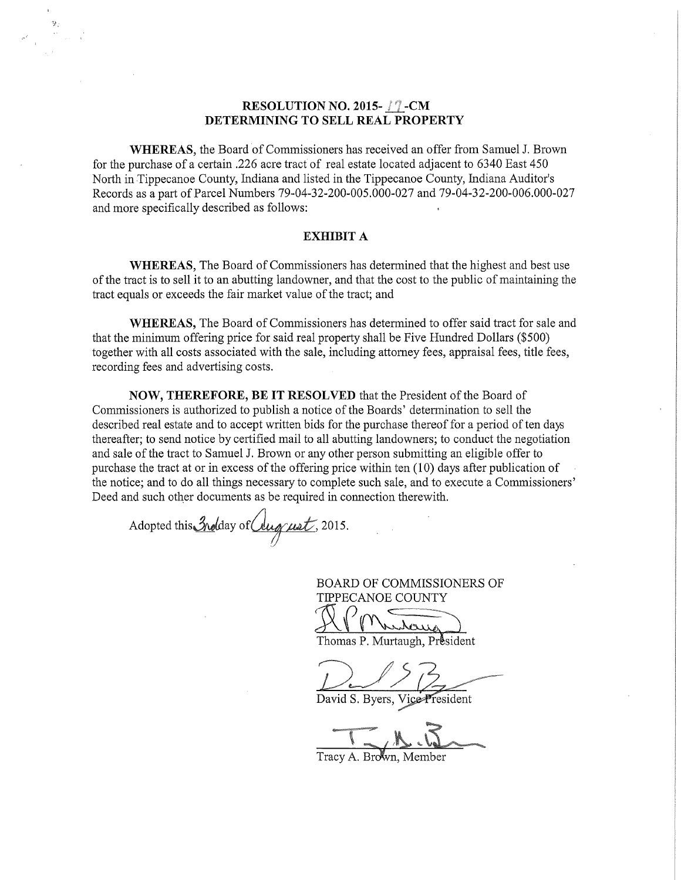## RESOLUTION NO. 2015- $\sqrt{?}$ -CM DETERMINING TO SELL REAL PROPERTY

WHEREAS, the Board of Commissioners has received an offer from Samuel J. Brown for the purchase of a certain .226 acre tract of real estate located adjacent to 6340 East 450 North in Tippecanoe County, Indiana and listed in the Tippecanoe County, Indiana Auditor's Records as a part of Parcel Numbers 79-04-32-200-005.000-027 and 79-04-32-200-006.000-027 and more specifically described as follows:

## EXHIBIT A

WHEREAS, The Board Of Commissioners has determined that the highest and best use of the tract is to sell it to an abutting landowner, and that the cost to the public of maintaining the tract equals or exceeds the fair market value of the tract; and

WHEREAS, The Board of Commissioners has determined to offer said tract for sale and that the minimum Offering price for said real property shall be Five Hundred Dollars (\$500) together with all costs associated with the sale, including attorney fees, appraisal fees, title fees, recording fees and advertising costs.

NOW, THEREFORE, BE IT RESOLVED that the President of the Board of Commissioners is authorized to publish <sup>a</sup> notice of the Boards' determination to sell the described real estate and to accept written bids for the purchase thereof for a period of ten days thereafter; to send notice by certified mail to all abutting landowners; to conduct the negotiation and sale of the tract to Samuel J. Brown or any other person submitting an eligible Offer to purchase the tract at or in excess of the offering price within ten  $(10)$  days after publication of the notice; and to do all things necessary to complete such sale, and to execute a Commissioners' Deed and such other documents as be required in connection therewith.

Adopted this Indian of Clug ust, 2015.

**BOARD OF COMMISSIONERS OF** TIPPECANOE COUNTY ruhaug

Thomas P. Murtaugh, Président

David S. Byers, Vice President

Tracy A. Brown, Member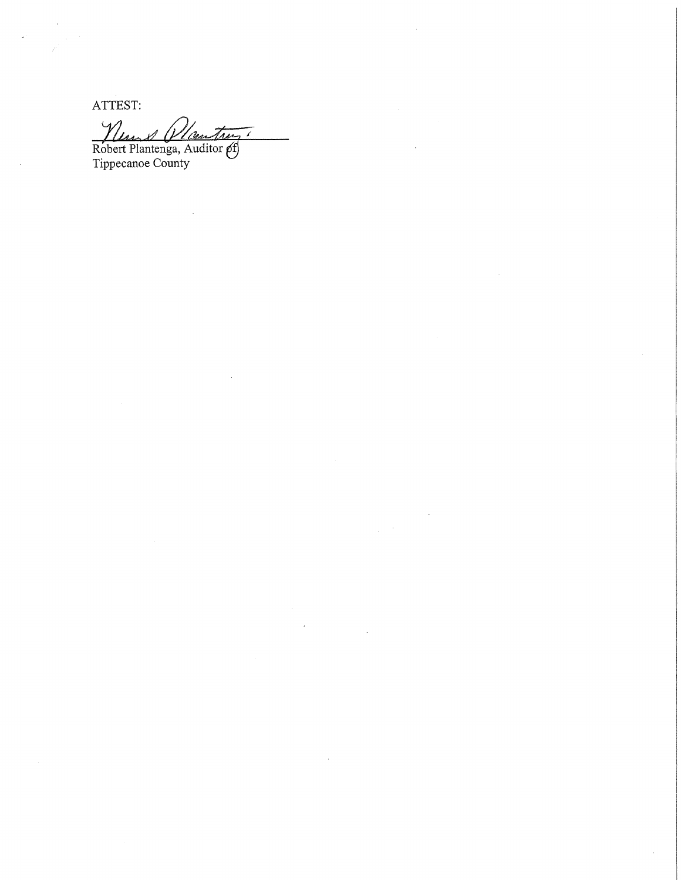ATTEST:

Men & Mauther 7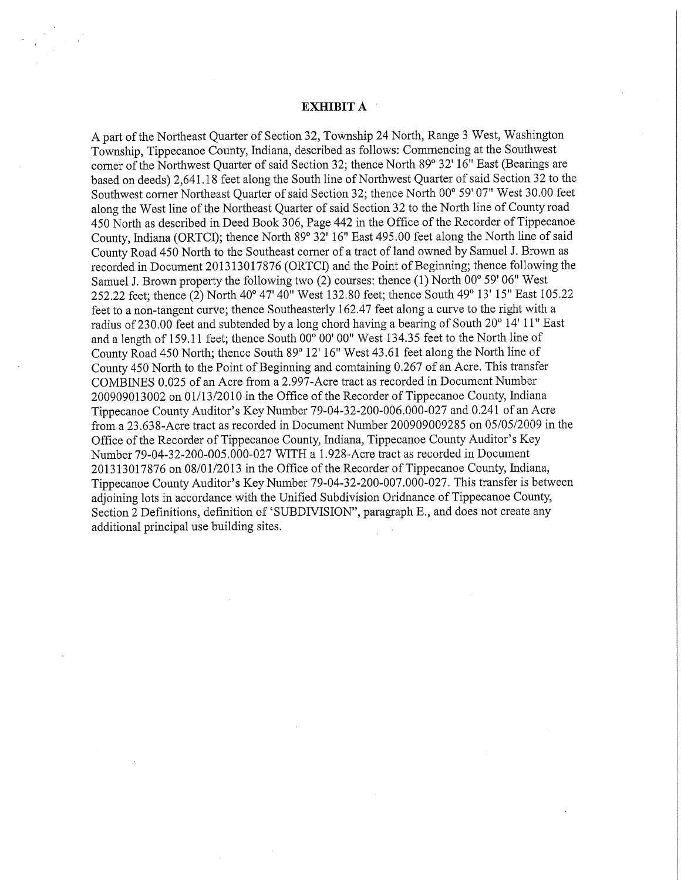## EXHIBIT A

A part of the Northeast Quarter of Section 32, Township <sup>24</sup> North, Range <sup>3</sup> West, Washington Township, Tippecanoe County, Indiana, described as follows: Commencing at the Southwest corner of the Northwest Quarter of said Section 32; thence North 89° 32' 16" East (Bearings are based on deeds) 2,641.18 feet along the South line of Northwest Quarter of said Section <sup>32</sup> to the Southwest corner Northeast Quarter of said Section 32; thence North 00° 59' 07" West 30.00 feet along the West line of the Northeast Quarter of said Section 32 to the North line of County road 450 North as described in Deed Book 306, Page 442 in the Office of the Recorder of Tippecanoe County, Indiana (ORTCI); thence North 89° 32' 16" East 495.00 feet along the North line of said County Road <sup>450</sup> North to the Southeast comer of <sup>a</sup> tract of land owned by Samuel J. Brown as recorded in Document 201313017876 (ORTCI) and the Point of Beginning; thence following the Samuel J. Brown property the following two (2) courses: thence (1) North 00° 59' 06" West 252.22 feet; thence (2) North 40° 47' 40" West 132.80 feet; thence South 49° 13' 15" East 105.22 feet to a non-tangent curve; thence Southeasterly 162.47 feet along a curve to the right with a radius of 230.00 feet and subtended by <sup>a</sup> long chord having <sup>a</sup> bearing of South 20° 14' 11" East and a length of 159.11 feet; thence South  $00^{\circ}$  00' 00" West 134.35 feet to the North line of County Road <sup>450</sup> North; thence South 89° 12' 16" West 43.61 feet along the NOrth line of County 450 North to the Point of Beginning and comtaining 0.267 of an Acre. This transfer COMBINES 0.025 of an Acre from <sup>a</sup> 2.997—Acre tractas recorded in Document Number 200909013002 on 01/13/2010 in the Office of the Recorder of Tippecanoe County, Indiana Tippecanoe County Auditor's Key Number 79—04—32-200—006000—027 and 0.241 of an Acre from a 23.638-Acre tract as recorded in Document Number 200909009285 on 05/05/2009 in the Office of the Recorder of Tippecanoe County, Indiana, Tippecanoe County Auditor's Key Number 79—04-32~200-005.000-027 WITH <sup>a</sup> 1.928~Acre tractas recorded in Document 201313017876 on 08/01/2013 in the Office of the Recorder of Tippecanoe County, Indiana, Tippecanoe County Auditor's Key Number 79—04-32—200—007.000-027. This transfer is between adjoining lots in accordance with the Unified Subdivision Oridnance of Tippecanoe County, Section 2 Definitions, definition of 'SUBDIVISION", paragraph E., and does not create any additional principal use building sites. .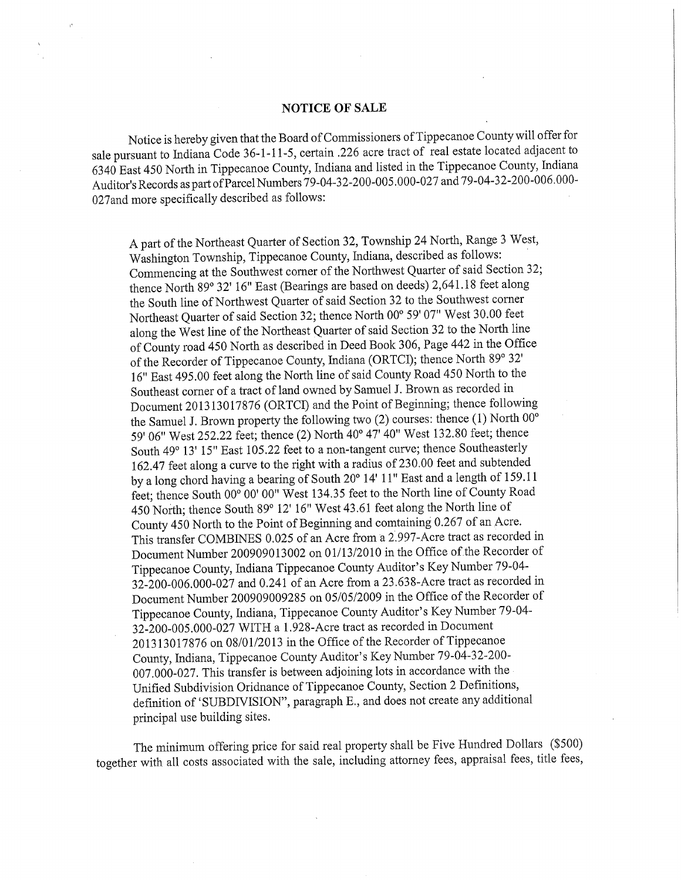## NOTICE OF SALE

Notice is hereby given that the Board of Commissioners of Tippecanoe County will offer for sale pursuant to Indiana Code 36-1-11-5, certain .226 acre tract of real estate located adjacent to <sup>6340</sup> East <sup>450</sup> North in Tippecanoe County, Indiana and listed in the Tippecanoe County, Indiana Auditor's Records as part of Parcel Numbers 79-04-32-200-005.000-027 and 79-04-32-200-006.000-027and more specifically described as follows: .

A part of the Northeast Quarter of Section 32, Township <sup>24</sup> North, Range <sup>3</sup> West, Washington Township, Tippecanoe County, Indiana, described as follows: ' Commencing at the Southwest corner of the Northwest Quarter of said Section 32; thence North 89° 32' 16" East (Bearings are based on deeds) 2,641.18 feet along the South line of Northwest Quarter of said Section 32 to the Southwest corner Northeast Quarter of said Section 32; thence North 00° 59' 07" West 30.00 feet along the West line of the Northeast Quarter of said Section 32 to the North line of County road <sup>450</sup> North as described in Deed Book 306, Page <sup>442</sup> in the Office of the Recorder of Tippecanoe County, Indiana (ORTCI); thence North 89° 32' 16" East 495.00 feet along the North line of said County Road <sup>450</sup> North to the Southeast corner of <sup>a</sup> tract of land owned by Samuel <sup>I</sup>. Brown as recorded in Document <sup>201313017876</sup> (ORTCI) and the Point of Beginning; thence following the Samuel J. Brown property the following two (2) courses: thence (1) North 00° 59' 06" West 252.22 feet; thence (2) North 40° 47' 40" West 132.80 feet; thence South 49° 13' 15" East 105.22 feet to <sup>a</sup> non-tangent curve; thence Southeasterly 162.47 feet along <sup>a</sup> curve to the right with <sup>a</sup> radius of 230.00 feetand subtended by <sup>a</sup> long chord having <sup>a</sup> bearing of South 20° 14' 11" East and <sup>a</sup> length of 159.11 feet; thence South 00° 00' 00" West 134.35 feet to the North line of County Road 450 North; thence South 89° 12' 16" West 43.61 feet along the North line of County 450 North to the Point of Beginning and comtaining 0.267 of an Acre. This transfer COMBINES 0.025 of an Acre from a 2.997-Acre tract as recorded in Document Number 200909013002 on 01/13/2010 in the Office of the Recorder of Tippecanoe County, Indiana Tippecanoe County Auditor's Key Number 79-04- 32-200-006.000—027 and 0.241 of an Acre from <sup>a</sup> 23.63 8—Acre tract as recorded in Document Number 200909009285 on 05/05/2009 in the Office of the Recorder of Tippecanoe County, Indiana, Tippecanoe County Auditor's Key Number 79-04—- 32-200-005.000-027 WITH a 1.928-Acre tract as recorded in Document 201313017876 on 08/01/2013 in the Office of the Recorder of Tippecanoe County, Indiana, Tippecanoe County Auditor's Key Number 79-04-32—200— 007.000-027. This transfer is between adjoining lots in accordance with the Unified Subdivision Oridnance of Tippecanoe County, Section <sup>2</sup> Definitions, definition of 'SUBDIVISION", paragraph E., and does not create any additional principal use building sites.

The minimum Offering price for said real property shall be Five Hundred Dollars (\$500) together with all costs associated with the sale, including attorney fees, appraisal fees, title fees,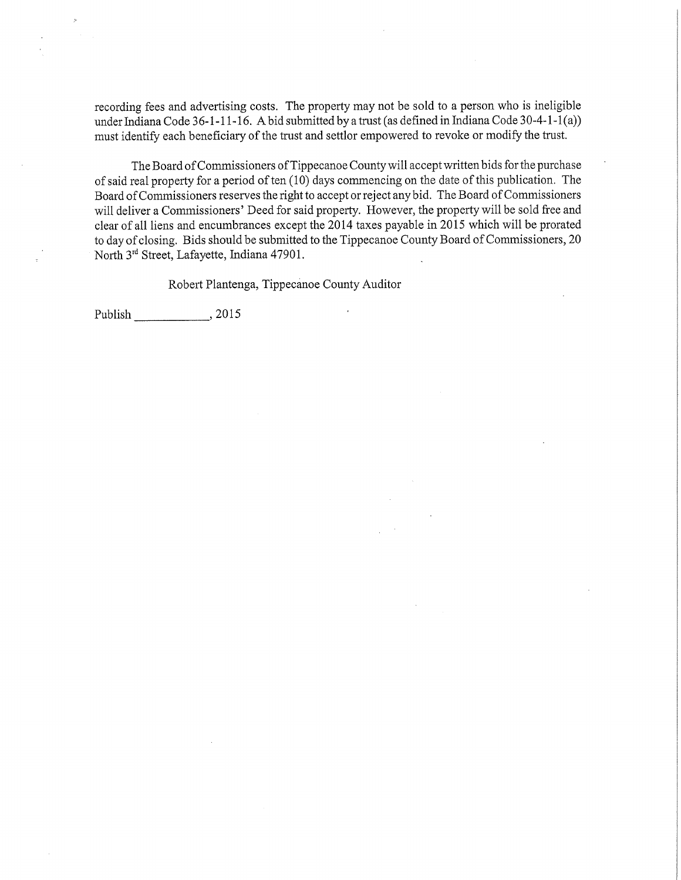recording fees and advertising costs. The property may not be sold to <sup>a</sup> person who is ineligible under Indiana Code 36-1-1 1-16. <sup>A</sup>bid submitted by <sup>a</sup> trust (as defined in Indiana Code 30~4-1-1(a)) must identify each beneficiary of the trust and settlor empowered to revoke or modify the trust.

The Board of Commissioners of Tippecanoe County will accept written bids for the purchase of said real property for a period of ten  $(10)$  days commencing on the date of this publication. The Board of Commissioners reserves the right to accept or reject any bid. The Board of Commissioners will deliver <sup>a</sup> Commissioners' Deed for said property. However, the property will be sold free and clear of all liens and encumbrances except the 2014 taxes payable in 2015 which will be prorated to day of closing. Bids should be submitted to the Tippecanoe County Board of Commissioners, 20 North 3rd Street, Lafayette, Indiana 47901.

Robert Plantenga, Tippecanoe County Auditor

Publish , 2015